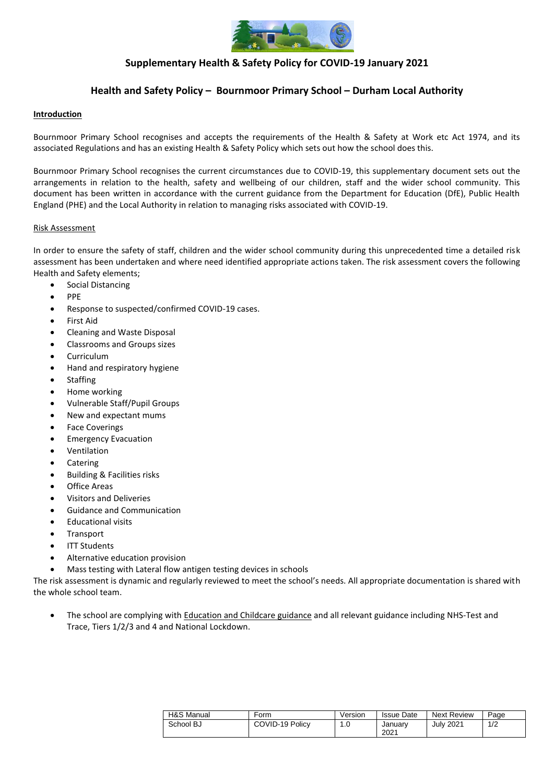

# **Supplementary Health & Safety Policy for COVID-19 January 2021**

# **Health and Safety Policy – Bournmoor Primary School – Durham Local Authority**

### **Introduction**

Bournmoor Primary School recognises and accepts the requirements of the Health & Safety at Work etc Act 1974, and its associated Regulations and has an existing Health & Safety Policy which sets out how the school does this.

Bournmoor Primary School recognises the current circumstances due to COVID-19, this supplementary document sets out the arrangements in relation to the health, safety and wellbeing of our children, staff and the wider school community. This document has been written in accordance with the current guidance from the Department for Education (DfE), Public Health England (PHE) and the Local Authority in relation to managing risks associated with COVID-19.

#### Risk Assessment

In order to ensure the safety of staff, children and the wider school community during this unprecedented time a detailed risk assessment has been undertaken and where need identified appropriate actions taken. The risk assessment covers the following Health and Safety elements;

- Social Distancing
- PPE
- Response to suspected/confirmed COVID-19 cases.
- **First Aid**
- Cleaning and Waste Disposal
- Classrooms and Groups sizes
- Curriculum
- Hand and respiratory hygiene
- **Staffing**
- Home working
- Vulnerable Staff/Pupil Groups
- New and expectant mums
- **Face Coverings**
- Emergency Evacuation
- **Ventilation**
- **Catering**
- Building & Facilities risks
- Office Areas
- Visitors and Deliveries
- Guidance and Communication
- Educational visits
- **Transport**
- **ITT Students**
- Alternative education provision
- Mass testing with Lateral flow antigen testing devices in schools

The risk assessment is dynamic and regularly reviewed to meet the school's needs. All appropriate documentation is shared with the whole school team.

The school are complying with [Education and Childcare](https://www.gov.uk/coronavirus/education-and-childcare) guidance and all relevant guidance including NHS-Test and Trace, Tiers 1/2/3 and 4 and National Lockdown.

| H&S Manual | Form            | Version | <b>Issue Date</b> | <b>Next Review</b> | Page |
|------------|-----------------|---------|-------------------|--------------------|------|
| School BJ  | COVID-19 Policy | 1.U     | Januarv<br>2021   | July 2021          | 1/2  |